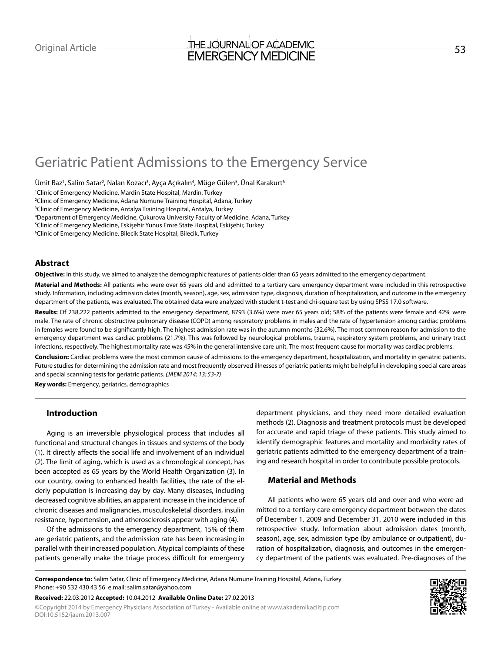## Original Article THE JOURNAL OF ACADEMIC<br>That DOC Thic VA AFRICULT EMERGENCY MEDICINE

# Geriatric Patient Admissions to the Emergency Service

Ümit Baz<sup>ı</sup>, Salim Satar<sup>2</sup>, Nalan Kozacı<sup>3</sup>, Ayça Açıkalın<sup>4</sup>, Müge Gülen<sup>5</sup>, Ünal Karakurt<sup>6</sup>

 Clinic of Emergency Medicine, Mardin State Hospital, Mardin, Turkey Clinic of Emergency Medicine, Adana Numune Training Hospital, Adana, Turkey Clinic of Emergency Medicine, Antalya Training Hospital, Antalya, Turkey Department of Emergency Medicine, Çukurova University Faculty of Medicine, Adana, Turkey Clinic of Emergency Medicine, Eskişehir Yunus Emre State Hospital, Eskişehir, Turkey Clinic of Emergency Medicine, Bilecik State Hospital, Bilecik, Turkey

#### **Abstract**

**Objective:** In this study, we aimed to analyze the demographic features of patients older than 65 years admitted to the emergency department.

**Material and Methods:** All patients who were over 65 years old and admitted to a tertiary care emergency department were included in this retrospective study. Information, including admission dates (month, season), age, sex, admission type, diagnosis, duration of hospitalization, and outcome in the emergency department of the patients, was evaluated. The obtained data were analyzed with student t-test and chi-square test by using SPSS 17.0 software.

Results: Of 238,222 patients admitted to the emergency department, 8793 (3.6%) were over 65 years old; 58% of the patients were female and 42% were male. The rate of chronic obstructive pulmonary disease (COPD) among respiratory problems in males and the rate of hypertension among cardiac problems in females were found to be significantly high. The highest admission rate was in the autumn months (32.6%). The most common reason for admission to the emergency department was cardiac problems (21.7%). This was followed by neurological problems, trauma, respiratory system problems, and urinary tract infections, respectively. The highest mortality rate was 45% in the general intensive care unit. The most frequent cause for mortality was cardiac problems.

**Conclusion:** Cardiac problems were the most common cause of admissions to the emergency department, hospitalization, and mortality in geriatric patients. Future studies for determining the admission rate and most frequently observed illnesses of geriatric patients might be helpful in developing special care areas and special scanning tests for geriatric patients. *(JAEM 2014; 13: 53-7)*

**Key words:** Emergency, geriatrics, demographics

#### **Introduction**

Aging is an irreversible physiological process that includes all functional and structural changes in tissues and systems of the body (1). It directly affects the social life and involvement of an individual (2). The limit of aging, which is used as a chronological concept, has been accepted as 65 years by the World Health Organization (3). In our country, owing to enhanced health facilities, the rate of the elderly population is increasing day by day. Many diseases, including decreased cognitive abilities, an apparent increase in the incidence of chronic diseases and malignancies, musculoskeletal disorders, insulin resistance, hypertension, and atherosclerosis appear with aging (4).

Of the admissions to the emergency department, 15% of them are geriatric patients, and the admission rate has been increasing in parallel with their increased population. Atypical complaints of these patients generally make the triage process difficult for emergency

department physicians, and they need more detailed evaluation methods (2). Diagnosis and treatment protocols must be developed for accurate and rapid triage of these patients. This study aimed to identify demographic features and mortality and morbidity rates of geriatric patients admitted to the emergency department of a training and research hospital in order to contribute possible protocols.

## **Material and Methods**

All patients who were 65 years old and over and who were admitted to a tertiary care emergency department between the dates of December 1, 2009 and December 31, 2010 were included in this retrospective study. Information about admission dates (month, season), age, sex, admission type (by ambulance or outpatient), duration of hospitalization, diagnosis, and outcomes in the emergency department of the patients was evaluated. Pre-diagnoses of the

**Received:** 22.03.2012 **Accepted:** 10.04.2012 **Available Online Date:** 27.02.2013

©Copyright 2014 by Emergency Physicians Association of Turkey - Available online at www.akademikaciltip.com DOI:10.5152/jaem.2013.007



**Correspondence to:** Salim Satar, Clinic of Emergency Medicine, Adana Numune Training Hospital, Adana, Turkey Phone: +90 532 430 43 56 e.mail: salim.satar@yahoo.com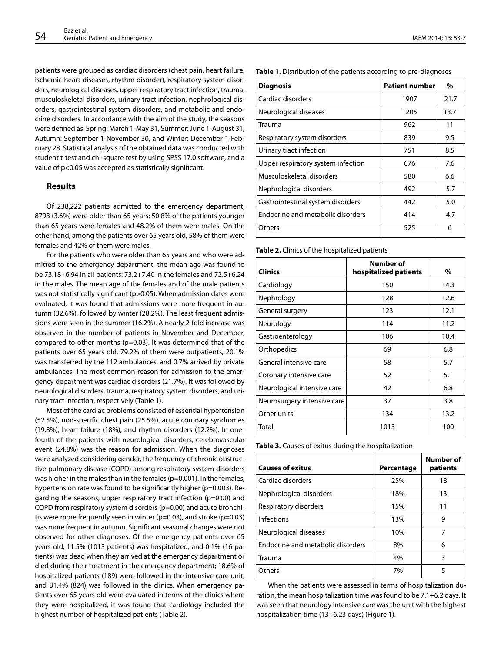patients were grouped as cardiac disorders (chest pain, heart failure, ischemic heart diseases, rhythm disorder), respiratory system disorders, neurological diseases, upper respiratory tract infection, trauma, musculoskeletal disorders, urinary tract infection, nephrological disorders, gastrointestinal system disorders, and metabolic and endocrine disorders. In accordance with the aim of the study, the seasons were defined as: Spring: March 1-May 31, Summer: June 1-August 31, Autumn: September 1-November 30, and Winter: December 1-February 28. Statistical analysis of the obtained data was conducted with student t-test and chi-square test by using SPSS 17.0 software, and a value of p<0.05 was accepted as statistically significant.

#### **Results**

Of 238,222 patients admitted to the emergency department, 8793 (3.6%) were older than 65 years; 50.8% of the patients younger than 65 years were females and 48.2% of them were males. On the other hand, among the patients over 65 years old, 58% of them were females and 42% of them were males.

For the patients who were older than 65 years and who were admitted to the emergency department, the mean age was found to be 73.18+6.94 in all patients: 73.2+7.40 in the females and 72.5+6.24 in the males. The mean age of the females and of the male patients was not statistically significant (p>0.05). When admission dates were evaluated, it was found that admissions were more frequent in autumn (32.6%), followed by winter (28.2%). The least frequent admissions were seen in the summer (16.2%). A nearly 2-fold increase was observed in the number of patients in November and December, compared to other months (p=0.03). It was determined that of the patients over 65 years old, 79.2% of them were outpatients, 20.1% was transferred by the 112 ambulances, and 0.7% arrived by private ambulances. The most common reason for admission to the emergency department was cardiac disorders (21.7%). It was followed by neurological disorders, trauma, respiratory system disorders, and urinary tract infection, respectively (Table 1).

Most of the cardiac problems consisted of essential hypertension (52.5%), non-specific chest pain (25.5%), acute coronary syndromes (19.8%), heart failure (18%), and rhythm disorders (12.2%). In onefourth of the patients with neurological disorders, cerebrovascular event (24.8%) was the reason for admission. When the diagnoses were analyzed considering gender, the frequency of chronic obstructive pulmonary disease (COPD) among respiratory system disorders was higher in the males than in the females (p=0.001). In the females, hypertension rate was found to be significantly higher (p=0.003). Regarding the seasons, upper respiratory tract infection (p=0.00) and COPD from respiratory system disorders (p=0.00) and acute bronchitis were more frequently seen in winter ( $p=0.03$ ), and stroke ( $p=0.03$ ) was more frequent in autumn. Significant seasonal changes were not observed for other diagnoses. Of the emergency patients over 65 years old, 11.5% (1013 patients) was hospitalized, and 0.1% (16 patients) was dead when they arrived at the emergency department or died during their treatment in the emergency department; 18.6% of hospitalized patients (189) were followed in the intensive care unit, and 81.4% (824) was followed in the clinics. When emergency patients over 65 years old were evaluated in terms of the clinics where they were hospitalized, it was found that cardiology included the highest number of hospitalized patients (Table 2).

**Table 1.** Distribution of the patients according to pre-diagnoses

| <b>Diagnosis</b>                   | <b>Patient number</b> | %    |
|------------------------------------|-----------------------|------|
| Cardiac disorders                  | 1907                  | 21.7 |
| Neurological diseases              | 1205                  | 13.7 |
| Trauma                             | 962                   | 11   |
| Respiratory system disorders       | 839                   | 9.5  |
| Urinary tract infection            | 751                   | 8.5  |
| Upper respiratory system infection | 676                   | 7.6  |
| Musculoskeletal disorders          | 580                   | 6.6  |
| Nephrological disorders            | 492                   | 5.7  |
| Gastrointestinal system disorders  | 442                   | 5.0  |
| Endocrine and metabolic disorders  | 414                   | 4.7  |
| Others                             | 525                   | 6    |

**Table 2.** Clinics of the hospitalized patients

| <b>Clinics</b>              | Number of<br>hospitalized patients | %    |
|-----------------------------|------------------------------------|------|
| Cardiology                  | 150                                | 14.3 |
| Nephrology                  | 128                                | 12.6 |
| General surgery             | 123                                | 12.1 |
| Neurology                   | 114                                | 11.2 |
| Gastroenterology            | 106                                | 10.4 |
| Orthopedics                 | 69                                 | 6.8  |
| General intensive care      | 58                                 | 5.7  |
| Coronary intensive care     | 52                                 | 5.1  |
| Neurological intensive care | 42                                 | 6.8  |
| Neurosurgery intensive care | 37                                 | 3.8  |
| Other units                 | 134                                | 13.2 |
| Total                       | 1013                               | 100  |

**Table 3.** Causes of exitus during the hospitalization

| <b>Causes of exitus</b>           | Percentage | Number of<br>patients |
|-----------------------------------|------------|-----------------------|
| Cardiac disorders                 | 25%        | 18                    |
| Nephrological disorders           | 18%        | 13                    |
| Respiratory disorders             | 15%        | 11                    |
| Infections                        | 13%        | 9                     |
| Neurological diseases             | 10%        | 7                     |
| Endocrine and metabolic disorders | 8%         | 6                     |
| Trauma                            | 4%         | 3                     |
| Others                            | 7%         | 5                     |

When the patients were assessed in terms of hospitalization duration, the mean hospitalization time was found to be 7.1+6.2 days. It was seen that neurology intensive care was the unit with the highest hospitalization time (13+6.23 days) (Figure 1).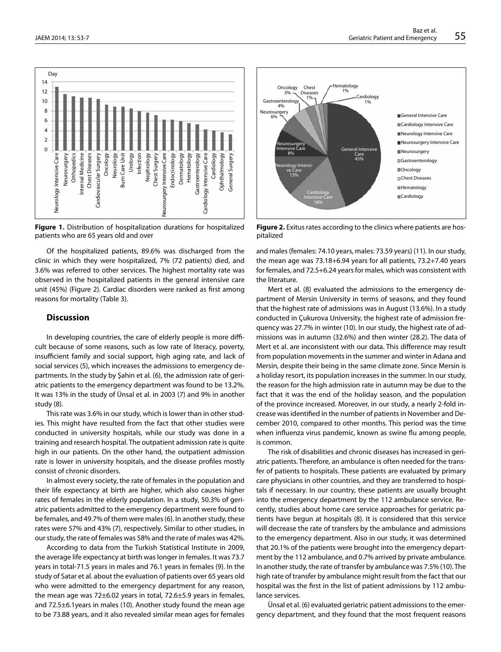

**Figure 1.** Distribution of hospitalization durations for hospitalized patients who are 65 years old and over

Of the hospitalized patients, 89.6% was discharged from the clinic in which they were hospitalized, 7% (72 patients) died, and 3.6% was referred to other services. The highest mortality rate was observed in the hospitalized patients in the general intensive care unit (45%) (Figure 2). Cardiac disorders were ranked as first among reasons for mortality (Table 3).

### **Discussion**

In developing countries, the care of elderly people is more difficult because of some reasons, such as low rate of literacy, poverty, insufficient family and social support, high aging rate, and lack of social services (5), which increases the admissions to emergency departments. In the study by Şahin et al. (6), the admission rate of geriatric patients to the emergency department was found to be 13.2%. It was 13% in the study of Ünsal et al. in 2003 (7) and 9% in another study (8).

This rate was 3.6% in our study, which is lower than in other studies. This might have resulted from the fact that other studies were conducted in university hospitals, while our study was done in a training and research hospital. The outpatient admission rate is quite high in our patients. On the other hand, the outpatient admission rate is lower in university hospitals, and the disease profiles mostly consist of chronic disorders.

In almost every society, the rate of females in the population and their life expectancy at birth are higher, which also causes higher rates of females in the elderly population. In a study, 50.3% of geriatric patients admitted to the emergency department were found to be females, and 49.7% of them were males (6). In another study, these rates were 57% and 43% (7), respectively. Similar to other studies, in our study, the rate of females was 58% and the rate of males was 42%.

According to data from the Turkish Statistical Institute in 2009, the average life expectancy at birth was longer in females. It was 73.7 years in total-71.5 years in males and 76.1 years in females (9). In the study of Satar et al. about the evaluation of patients over 65 years old who were admitted to the emergency department for any reason, the mean age was 72±6.02 years in total, 72.6±5.9 years in females, and 72.5±6.1years in males (10). Another study found the mean age to be 73.88 years, and it also revealed similar mean ages for females



**Figure 2.** Exitus rates according to the clinics where patients are hospitalized

and males (females: 74.10 years, males: 73.59 years) (11). In our study, the mean age was 73.18+6.94 years for all patients, 73.2+7.40 years for females, and 72.5+6.24 years for males, which was consistent with the literature.

Mert et al. (8) evaluated the admissions to the emergency department of Mersin University in terms of seasons, and they found that the highest rate of admissions was in August (13.6%). In a study conducted in Çukurova University, the highest rate of admission frequency was 27.7% in winter (10). In our study, the highest rate of admissions was in autumn (32.6%) and then winter (28.2). The data of Mert et al. are inconsistent with our data. This difference may result from population movements in the summer and winter in Adana and Mersin, despite their being in the same climate zone. Since Mersin is a holiday resort, its population increases in the summer. In our study, the reason for the high admission rate in autumn may be due to the fact that it was the end of the holiday season, and the population of the province increased. Moreover, in our study, a nearly 2-fold increase was identified in the number of patients in November and December 2010, compared to other months. This period was the time when influenza virus pandemic, known as swine flu among people, is common.

The risk of disabilities and chronic diseases has increased in geriatric patients. Therefore, an ambulance is often needed for the transfer of patients to hospitals. These patients are evaluated by primary care physicians in other countries, and they are transferred to hospitals if necessary. In our country, these patients are usually brought into the emergency department by the 112 ambulance service. Recently, studies about home care service approaches for geriatric patients have begun at hospitals (8). It is considered that this service will decrease the rate of transfers by the ambulance and admissions to the emergency department. Also in our study, it was determined that 20.1% of the patients were brought into the emergency department by the 112 ambulance, and 0.7% arrived by private ambulance. In another study, the rate of transfer by ambulance was 7.5% (10). The high rate of transfer by ambulance might result from the fact that our hospital was the first in the list of patient admissions by 112 ambulance services.

Ünsal et al. (6) evaluated geriatric patient admissions to the emergency department, and they found that the most frequent reasons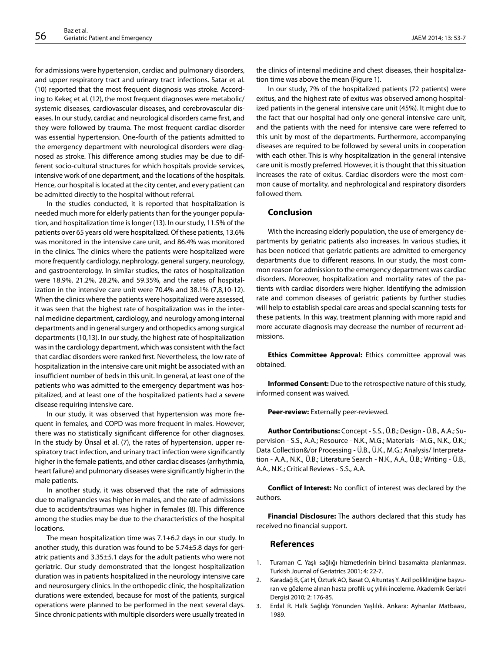for admissions were hypertension, cardiac and pulmonary disorders, and upper respiratory tract and urinary tract infections. Satar et al. (10) reported that the most frequent diagnosis was stroke. According to Kekeç et al. (12), the most frequent diagnoses were metabolic/ systemic diseases, cardiovascular diseases, and cerebrovascular diseases. In our study, cardiac and neurological disorders came first, and they were followed by trauma. The most frequent cardiac disorder was essential hypertension. One-fourth of the patients admitted to the emergency department with neurological disorders were diagnosed as stroke. This difference among studies may be due to different socio-cultural structures for which hospitals provide services, intensive work of one department, and the locations of the hospitals. Hence, our hospital is located at the city center, and every patient can be admitted directly to the hospital without referral.

In the studies conducted, it is reported that hospitalization is needed much more for elderly patients than for the younger population, and hospitalization time is longer (13). In our study, 11.5% of the patients over 65 years old were hospitalized. Of these patients, 13.6% was monitored in the intensive care unit, and 86.4% was monitored in the clinics. The clinics where the patients were hospitalized were more frequently cardiology, nephrology, general surgery, neurology, and gastroenterology. In similar studies, the rates of hospitalization were 18.9%, 21.2%, 28.2%, and 59.35%, and the rates of hospitalization in the intensive care unit were 70.4% and 38.1% (7,8,10-12). When the clinics where the patients were hospitalized were assessed, it was seen that the highest rate of hospitalization was in the internal medicine department, cardiology, and neurology among internal departments and in general surgery and orthopedics among surgical departments (10,13). In our study, the highest rate of hospitalization was in the cardiology department, which was consistent with the fact that cardiac disorders were ranked first. Nevertheless, the low rate of hospitalization in the intensive care unit might be associated with an insufficient number of beds in this unit. In general, at least one of the patients who was admitted to the emergency department was hospitalized, and at least one of the hospitalized patients had a severe disease requiring intensive care.

In our study, it was observed that hypertension was more frequent in females, and COPD was more frequent in males. However, there was no statistically significant difference for other diagnoses. In the study by Ünsal et al. (7), the rates of hypertension, upper respiratory tract infection, and urinary tract infection were significantly higher in the female patients, and other cardiac diseases (arrhythmia, heart failure) and pulmonary diseases were significantly higher in the male patients.

In another study, it was observed that the rate of admissions due to malignancies was higher in males, and the rate of admissions due to accidents/traumas was higher in females (8). This difference among the studies may be due to the characteristics of the hospital locations.

The mean hospitalization time was 7.1+6.2 days in our study. In another study, this duration was found to be 5.74±5.8 days for geriatric patients and 3.35±5.1 days for the adult patients who were not geriatric. Our study demonstrated that the longest hospitalization duration was in patients hospitalized in the neurology intensive care and neurosurgery clinics. In the orthopedic clinic, the hospitalization durations were extended, because for most of the patients, surgical operations were planned to be performed in the next several days. Since chronic patients with multiple disorders were usually treated in

the clinics of internal medicine and chest diseases, their hospitalization time was above the mean (Figure 1).

In our study, 7% of the hospitalized patients (72 patients) were exitus, and the highest rate of exitus was observed among hospitalized patients in the general intensive care unit (45%). It might due to the fact that our hospital had only one general intensive care unit, and the patients with the need for intensive care were referred to this unit by most of the departments. Furthermore, accompanying diseases are required to be followed by several units in cooperation with each other. This is why hospitalization in the general intensive care unit is mostly preferred. However, it is thought that this situation increases the rate of exitus. Cardiac disorders were the most common cause of mortality, and nephrological and respiratory disorders followed them.

#### **Conclusion**

With the increasing elderly population, the use of emergency departments by geriatric patients also increases. In various studies, it has been noticed that geriatric patients are admitted to emergency departments due to different reasons. In our study, the most common reason for admission to the emergency department was cardiac disorders. Moreover, hospitalization and mortality rates of the patients with cardiac disorders were higher. Identifying the admission rate and common diseases of geriatric patients by further studies will help to establish special care areas and special scanning tests for these patients. In this way, treatment planning with more rapid and more accurate diagnosis may decrease the number of recurrent admissions.

**Ethics Committee Approval:** Ethics committee approval was obtained.

**Informed Consent:** Due to the retrospective nature of this study, informed consent was waived.

**Peer-review:** Externally peer-reviewed.

**Author Contributions:** Concept - S.S., Ü.B.; Design - Ü.B., A.A.; Supervision - S.S., A.A.; Resource - N.K., M.G.; Materials - M.G., N.K., Ü.K.; Data Collection&/or Processing - Ü.B., Ü.K., M.G.; Analysis/ Interpretation - A.A., N.K., Ü.B.; Literature Search - N.K., A.A., Ü.B.; Writing - Ü.B., A.A., N.K.; Critical Reviews - S.S., A.A.

**Conflict of Interest:** No conflict of interest was declared by the authors.

**Financial Disclosure:** The authors declared that this study has received no financial support.

#### **References**

- 1. Turaman C. Yaşlı sağlığı hizmetlerinin birinci basamakta planlanması. Turkish Journal of Geriatrics 2001; 4: 22-7.
- 2. Karadağ B, Çat H, Özturk AO, Basat O, Altuntaş Y. Acil polikliniğine başvuran ve gözleme alınan hasta profili: uç yıllık inceleme. Akademik Geriatri Dergisi 2010; 2: 176-85.
- 3. Erdal R. Halk Sağlığı Yönunden Yaşlılık. Ankara: Ayhanlar Matbaası, 1989.